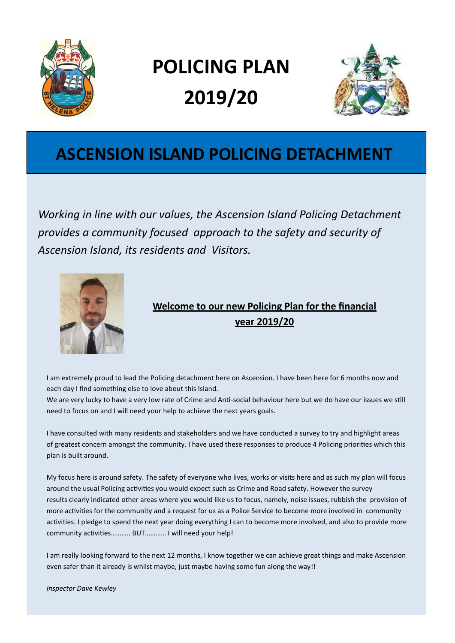

# **POLICING PLAN 2019/20**



### **ASCENSION ISLAND POLICING DETACHMENT**

*Working in line with our values, the Ascension Island Policing Detachment provides a community focused approach to the safety and security of Ascension Island, its residents and Visitors.*



### **Welcome to our new Policing Plan for the financial year 2019/20**

I am extremely proud to lead the Policing detachment here on Ascension. I have been here for 6 months now and each day I find something else to love about this Island.

We are very lucky to have a very low rate of Crime and Anti-social behaviour here but we do have our issues we still need to focus on and I will need your help to achieve the next years goals.

I have consulted with many residents and stakeholders and we have conducted a survey to try and highlight areas of greatest concern amongst the community. I have used these responses to produce 4 Policing priorities which this plan is built around.

My focus here is around safety. The safety of everyone who lives, works or visits here and as such my plan will focus around the usual Policing activities you would expect such as Crime and Road safety. However the survey results clearly indicated other areas where you would like us to focus, namely, noise issues, rubbish the provision of more activities for the community and a request for us as a Police Service to become more involved in community activities. I pledge to spend the next year doing everything I can to become more involved, and also to provide more community activities……….. BUT………… I will need your help!

I am really looking forward to the next 12 months, I know together we can achieve great things and make Ascension even safer than it already is whilst maybe, just maybe having some fun along the way!!

*Inspector Dave Kewley*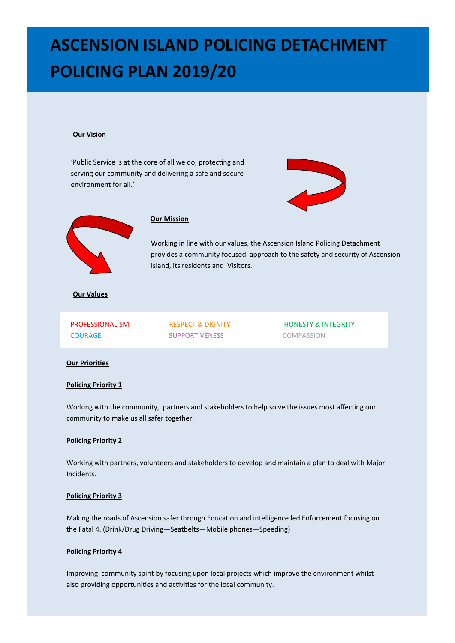#### **Our Vision**

'Public Service is at the core of all we do, protecting and serving our community and delivering a safe and secure environment for all.'





#### **Our Mission**

Working in line with our values, the Ascension Island Policing Detachment provides a community focused approach to the safety and security of Ascension Island, its residents and Visitors.

#### **Our Values**

COURAGE SUPPORTIVENESS COMPASSION

PROFESSIONALISM RESPECT & DIGNITY HONESTY & INTEGRITY

#### **Our Priorities**

#### **Policing Priority 1**

Working with the community, partners and stakeholders to help solve the issues most affecting our community to make us all safer together.

#### **Policing Priority 2**

Working with partners, volunteers and stakeholders to develop and maintain a plan to deal with Major Incidents.

#### **Policing Priority 3**

Making the roads of Ascension safer through Education and intelligence led Enforcement focusing on the Fatal 4. (Drink/Drug Driving—Seatbelts—Mobile phones—Speeding)

#### **Policing Priority 4**

Improving community spirit by focusing upon local projects which improve the environment whilst also providing opportunities and activities for the local community.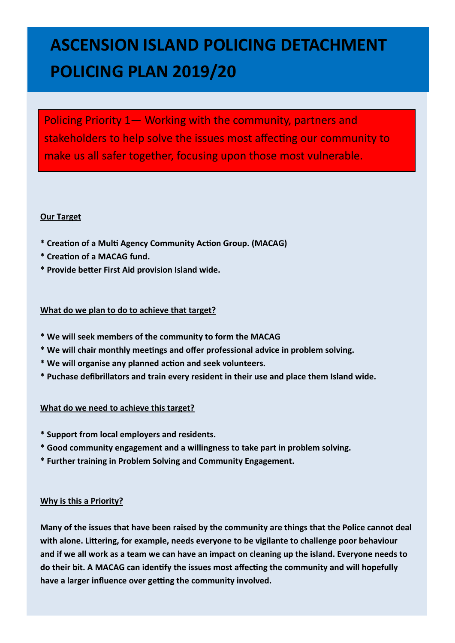Policing Priority 1— Working with the community, partners and stakeholders to help solve the issues most affecting our community to make us all safer together, focusing upon those most vulnerable.

#### **Our Target**

- **\* Creation of a Multi Agency Community Action Group. (MACAG)**
- **\* Creation of a MACAG fund.**
- **\* Provide better First Aid provision Island wide.**

#### **What do we plan to do to achieve that target?**

- **\* We will seek members of the community to form the MACAG**
- **\* We will chair monthly meetings and offer professional advice in problem solving.**
- **\* We will organise any planned action and seek volunteers.**
- **\* Puchase defibrillators and train every resident in their use and place them Island wide.**

#### **What do we need to achieve this target?**

- **\* Support from local employers and residents.**
- **\* Good community engagement and a willingness to take part in problem solving.**
- **\* Further training in Problem Solving and Community Engagement.**

#### **Why is this a Priority?**

**Many of the issues that have been raised by the community are things that the Police cannot deal with alone. Littering, for example, needs everyone to be vigilante to challenge poor behaviour and if we all work as a team we can have an impact on cleaning up the island. Everyone needs to do their bit. A MACAG can identify the issues most affecting the community and will hopefully have a larger influence over getting the community involved.**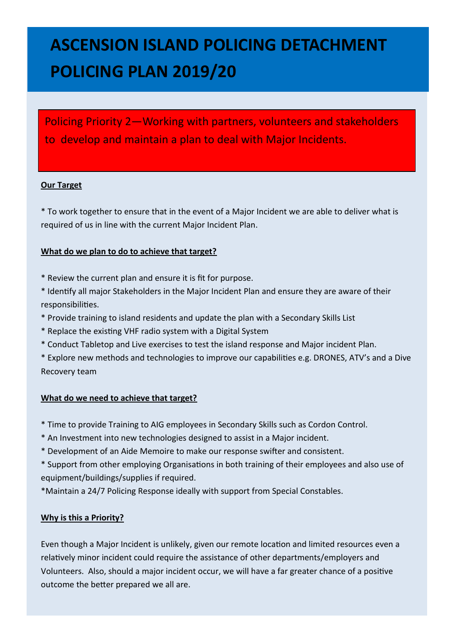Policing Priority 2—Working with partners, volunteers and stakeholders to develop and maintain a plan to deal with Major Incidents.

#### **Our Target**

\* To work together to ensure that in the event of a Major Incident we are able to deliver what is required of us in line with the current Major Incident Plan.

#### **What do we plan to do to achieve that target?**

- \* Review the current plan and ensure it is fit for purpose.
- \* Identify all major Stakeholders in the Major Incident Plan and ensure they are aware of their responsibilities.
- \* Provide training to island residents and update the plan with a Secondary Skills List
- \* Replace the existing VHF radio system with a Digital System
- \* Conduct Tabletop and Live exercises to test the island response and Major incident Plan.
- \* Explore new methods and technologies to improve our capabilities e.g. DRONES, ATV's and a Dive Recovery team

#### **What do we need to achieve that target?**

- \* Time to provide Training to AIG employees in Secondary Skills such as Cordon Control.
- \* An Investment into new technologies designed to assist in a Major incident.
- \* Development of an Aide Memoire to make our response swifter and consistent.
- \* Support from other employing Organisations in both training of their employees and also use of equipment/buildings/supplies if required.
- \*Maintain a 24/7 Policing Response ideally with support from Special Constables.

#### **Why is this a Priority?**

Even though a Major Incident is unlikely, given our remote location and limited resources even a relatively minor incident could require the assistance of other departments/employers and Volunteers. Also, should a major incident occur, we will have a far greater chance of a positive outcome the better prepared we all are.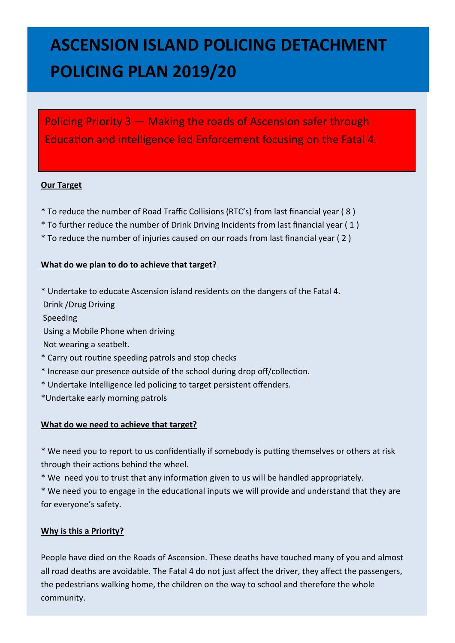Policing Priority 3 — Making the roads of Ascension safer through Education and intelligence led Enforcement focusing on the Fatal 4.

#### **Our Target**

- \* To reduce the number of Road Traffic Collisions (RTC's) from last financial year ( 8 )
- \* To further reduce the number of Drink Driving Incidents from last financial year ( 1 )
- \* To reduce the number of injuries caused on our roads from last financial year ( 2 )

#### **What do we plan to do to achieve that target?**

\* Undertake to educate Ascension island residents on the dangers of the Fatal 4.

Drink /Drug Driving

Speeding

Using a Mobile Phone when driving

Not wearing a seatbelt.

- \* Carry out routine speeding patrols and stop checks
- \* Increase our presence outside of the school during drop off/collection.
- \* Undertake Intelligence led policing to target persistent offenders.
- \*Undertake early morning patrols

#### **What do we need to achieve that target?**

\* We need you to report to us confidentially if somebody is putting themselves or others at risk through their actions behind the wheel.

\* We need you to trust that any information given to us will be handled appropriately.

\* We need you to engage in the educational inputs we will provide and understand that they are for everyone's safety.

#### **Why is this a Priority?**

People have died on the Roads of Ascension. These deaths have touched many of you and almost all road deaths are avoidable. The Fatal 4 do not just affect the driver, they affect the passengers, the pedestrians walking home, the children on the way to school and therefore the whole community.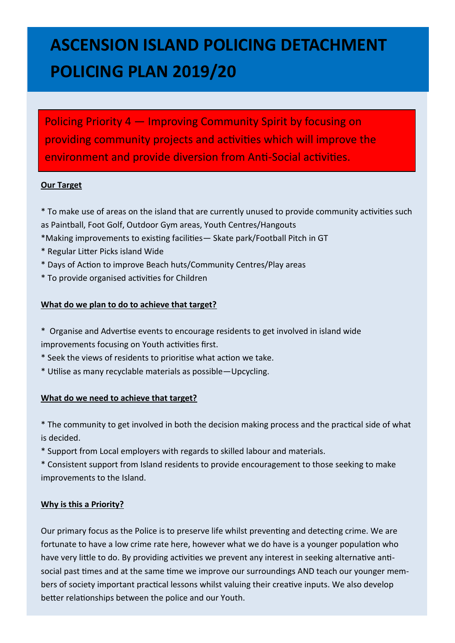Policing Priority 4 — Improving Community Spirit by focusing on providing community projects and activities which will improve the environment and provide diversion from Anti-Social activities.

#### **Our Target**

- \* To make use of areas on the island that are currently unused to provide community activities such as Paintball, Foot Golf, Outdoor Gym areas, Youth Centres/Hangouts
- \*Making improvements to existing facilities— Skate park/Football Pitch in GT
- \* Regular Litter Picks island Wide
- \* Days of Action to improve Beach huts/Community Centres/Play areas
- \* To provide organised activities for Children

#### **What do we plan to do to achieve that target?**

- \* Organise and Advertise events to encourage residents to get involved in island wide improvements focusing on Youth activities first.
- \* Seek the views of residents to prioritise what action we take.
- \* Utilise as many recyclable materials as possible—Upcycling.

#### **What do we need to achieve that target?**

- \* The community to get involved in both the decision making process and the practical side of what is decided.
- \* Support from Local employers with regards to skilled labour and materials.

\* Consistent support from Island residents to provide encouragement to those seeking to make improvements to the Island.

#### **Why is this a Priority?**

Our primary focus as the Police is to preserve life whilst preventing and detecting crime. We are fortunate to have a low crime rate here, however what we do have is a younger population who have very little to do. By providing activities we prevent any interest in seeking alternative antisocial past times and at the same time we improve our surroundings AND teach our younger members of society important practical lessons whilst valuing their creative inputs. We also develop better relationships between the police and our Youth.